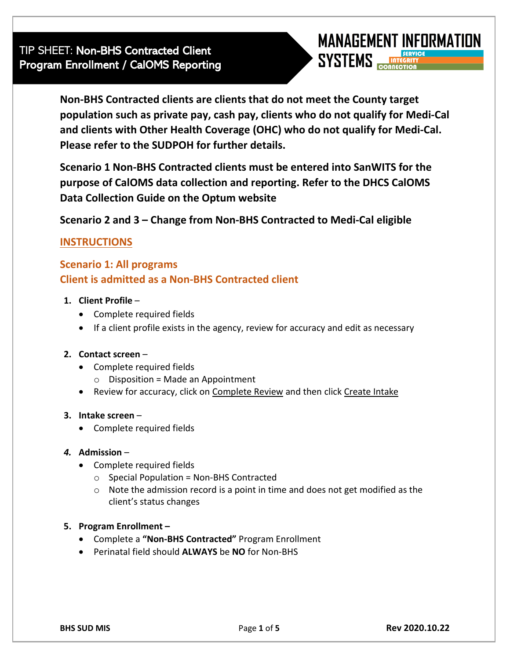

**Non-BHS Contracted clients are clients that do not meet the County target population such as private pay, cash pay, clients who do not qualify for Medi-Cal and clients with Other Health Coverage (OHC) who do not qualify for Medi-Cal. Please refer to the SUDPOH for further details.**

**Scenario 1 Non-BHS Contracted clients must be entered into SanWITS for the purpose of CalOMS data collection and reporting. Refer to the DHCS CalOMS Data Collection Guide on the Optum website**

**Scenario 2 and 3 – Change from Non-BHS Contracted to Medi-Cal eligible**

# **INSTRUCTIONS**

**Scenario 1: All programs Client is admitted as a Non-BHS Contracted client**

# **1. Client Profile** –

- Complete required fields
- If a client profile exists in the agency, review for accuracy and edit as necessary

#### **2. Contact screen** –

- Complete required fields
	- $\circ$  Disposition = Made an Appointment
- Review for accuracy, click on Complete Review and then click Create Intake

#### **3. Intake screen** –

• Complete required fields

#### *4.* **Admission** –

- Complete required fields
	- $\circ$  Special Population = Non-BHS Contracted
	- o Note the admission record is a point in time and does not get modified as the client's status changes

#### **5. Program Enrollment –**

- Complete a **"Non-BHS Contracted"** Program Enrollment
- Perinatal field should **ALWAYS** be **NO** for Non-BHS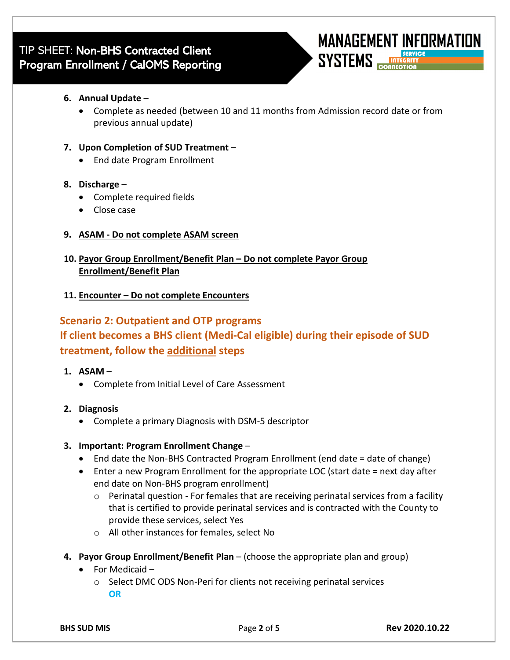

• Complete as needed (between 10 and 11 months from Admission record date or from previous annual update)

#### **7. Upon Completion of SUD Treatment –**

• End date Program Enrollment

# **8. Discharge –**

- Complete required fields
- Close case

# **9. ASAM - Do not complete ASAM screen**

**10. Payor Group Enrollment/Benefit Plan – Do not complete Payor Group Enrollment/Benefit Plan**

# **11. Encounter – Do not complete Encounters**

# **Scenario 2: Outpatient and OTP programs**

# **If client becomes a BHS client (Medi-Cal eligible) during their episode of SUD treatment, follow the additional steps**

# **1. ASAM –**

• Complete from Initial Level of Care Assessment

# **2. Diagnosis**

• Complete a primary Diagnosis with DSM-5 descriptor

# **3. Important: Program Enrollment Change** –

- End date the Non-BHS Contracted Program Enrollment (end date = date of change)
- Enter a new Program Enrollment for the appropriate LOC (start date = next day after end date on Non-BHS program enrollment)
	- $\circ$  Perinatal question For females that are receiving perinatal services from a facility that is certified to provide perinatal services and is contracted with the County to provide these services, select Yes
	- o All other instances for females, select No
- **4. Payor Group Enrollment/Benefit Plan** (choose the appropriate plan and group)
	- For Medicaid
		- o Select DMC ODS Non-Peri for clients not receiving perinatal services **OR**

**MANAGEMENT INFORMATION** 

**SYSTEMS**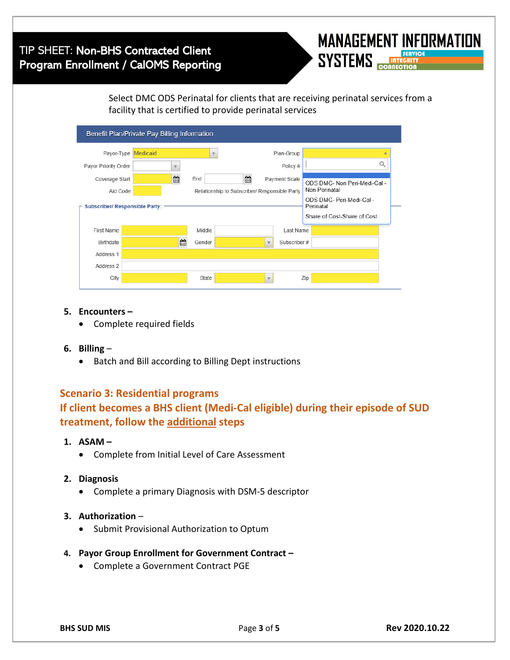# TIP SHEET: Non-BHS Contracted Client Program Enrollment / CalOMS Reporting



Select DMC ODS Perinatal for clients that are receiving perinatal services from a facility that is certified to provide perinatal services

| Benefit Plan/Private Pay Billing Information |                                |                                               |  |                              |              |                                       |  |  |  |
|----------------------------------------------|--------------------------------|-----------------------------------------------|--|------------------------------|--------------|---------------------------------------|--|--|--|
| Payor-Type                                   | Medicaid                       | $\overline{\mathbf{v}}$                       |  |                              | Plan-Group   |                                       |  |  |  |
| Payor Priority Order                         | $\mathbf{v}$                   |                                               |  |                              | Policy #     |                                       |  |  |  |
| Coverage Start                               | 鱛<br>爵<br>End<br>Payment Scale |                                               |  | ODS DMC- Non Peri-Medi-Cal - |              |                                       |  |  |  |
| Aid Code                                     |                                | Relationship to Subscriber/ Responsible Party |  |                              |              | Non Perinatal                         |  |  |  |
| <b>Subscriber/ Responsible Party:</b>        |                                |                                               |  |                              |              | ODS DMC- Peri-Medi-Cal -<br>Perinatal |  |  |  |
|                                              |                                |                                               |  |                              |              | Share of Cost-Share of Cost           |  |  |  |
| First Name                                   |                                | Middle                                        |  |                              | Last Name    |                                       |  |  |  |
| Birthdate                                    | Ê.                             | Gender                                        |  | $\overline{\phantom{a}}$     | Subscriber # |                                       |  |  |  |
| Address 1                                    |                                |                                               |  |                              |              |                                       |  |  |  |
| Address 2                                    |                                |                                               |  |                              |              |                                       |  |  |  |
| City                                         |                                | State                                         |  | $\overline{\phantom{a}}$     |              | Zip                                   |  |  |  |

- **5. Encounters –**
	- Complete required fields
- **6. Billing**
	- Batch and Bill according to Billing Dept instructions

# **Scenario 3: Residential programs If client becomes a BHS client (Medi-Cal eligible) during their episode of SUD treatment, follow the additional steps**

- **1. ASAM –**
	- Complete from Initial Level of Care Assessment
- **2. Diagnosis**
	- Complete a primary Diagnosis with DSM-5 descriptor
- **3. Authorization** 
	- Submit Provisional Authorization to Optum
- **4. Payor Group Enrollment for Government Contract –**
	- Complete a Government Contract PGE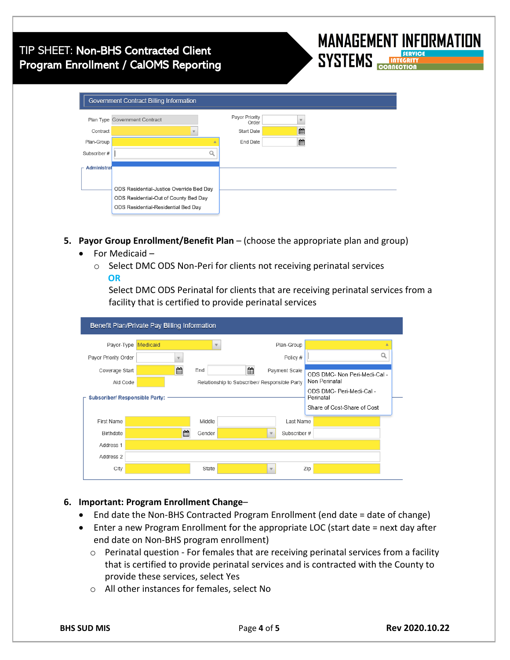# TIP SHEET: Non-BHS Contracted Client Program Enrollment / CalOMS Reporting

|                    | Plan Type Government Contract            | Payor Priority             |   |  |
|--------------------|------------------------------------------|----------------------------|---|--|
| Contract           |                                          | Order<br><b>Start Date</b> | ≝ |  |
|                    |                                          |                            |   |  |
| Plan-Group         |                                          | End Date                   | ≝ |  |
| Subscriber #       |                                          |                            |   |  |
| <b>Administral</b> |                                          |                            |   |  |
|                    |                                          |                            |   |  |
|                    | ODS Residential-Justice Override Bed Day |                            |   |  |

- **5. Payor Group Enrollment/Benefit Plan** (choose the appropriate plan and group)
	- For Medicaid
		- o Select DMC ODS Non-Peri for clients not receiving perinatal services  **OR**

Select DMC ODS Perinatal for clients that are receiving perinatal services from a facility that is certified to provide perinatal services

|                                       | Benefit Plan/Private Pay Billing Information |          |                                               |        |   |                                       |                             |                              |  |  |  |
|---------------------------------------|----------------------------------------------|----------|-----------------------------------------------|--------|---|---------------------------------------|-----------------------------|------------------------------|--|--|--|
|                                       | Payor-Type                                   | Medicaid |                                               |        |   |                                       | Plan-Group                  |                              |  |  |  |
|                                       | Payor Priority Order                         |          | v                                             |        |   |                                       | Policy #                    |                              |  |  |  |
|                                       | Coverage Start                               |          | 飴                                             | End    | 齡 |                                       | Payment Scale               | ODS DMC- Non Peri-Medi-Cal - |  |  |  |
|                                       | Aid Code                                     |          | Relationship to Subscriber/ Responsible Party |        |   | Non Perinatal                         |                             |                              |  |  |  |
| <b>Subscriber/ Responsible Party:</b> |                                              |          |                                               |        |   | ODS DMC- Peri-Medi-Cal -<br>Perinatal |                             |                              |  |  |  |
|                                       |                                              |          |                                               |        |   |                                       | Share of Cost-Share of Cost |                              |  |  |  |
|                                       | First Name                                   |          |                                               | Middle |   |                                       | Last Name                   |                              |  |  |  |
|                                       | <b>Birthdate</b>                             |          | 鱛                                             | Gender |   | v                                     | Subscriber #                |                              |  |  |  |
|                                       | Address 1                                    |          |                                               |        |   |                                       |                             |                              |  |  |  |
|                                       | Address 2                                    |          |                                               |        |   |                                       |                             |                              |  |  |  |
|                                       | City                                         |          |                                               | State  |   | $\mathbf{v}$                          |                             | Zip                          |  |  |  |
|                                       |                                              |          |                                               |        |   |                                       |                             |                              |  |  |  |

# **6. Important: Program Enrollment Change**–

- End date the Non-BHS Contracted Program Enrollment (end date = date of change)
- Enter a new Program Enrollment for the appropriate LOC (start date = next day after end date on Non-BHS program enrollment)
	- o Perinatal question For females that are receiving perinatal services from a facility that is certified to provide perinatal services and is contracted with the County to provide these services, select Yes
	- o All other instances for females, select No

**MANAGEMENT INFORMATION** 

**SYSTEMS**